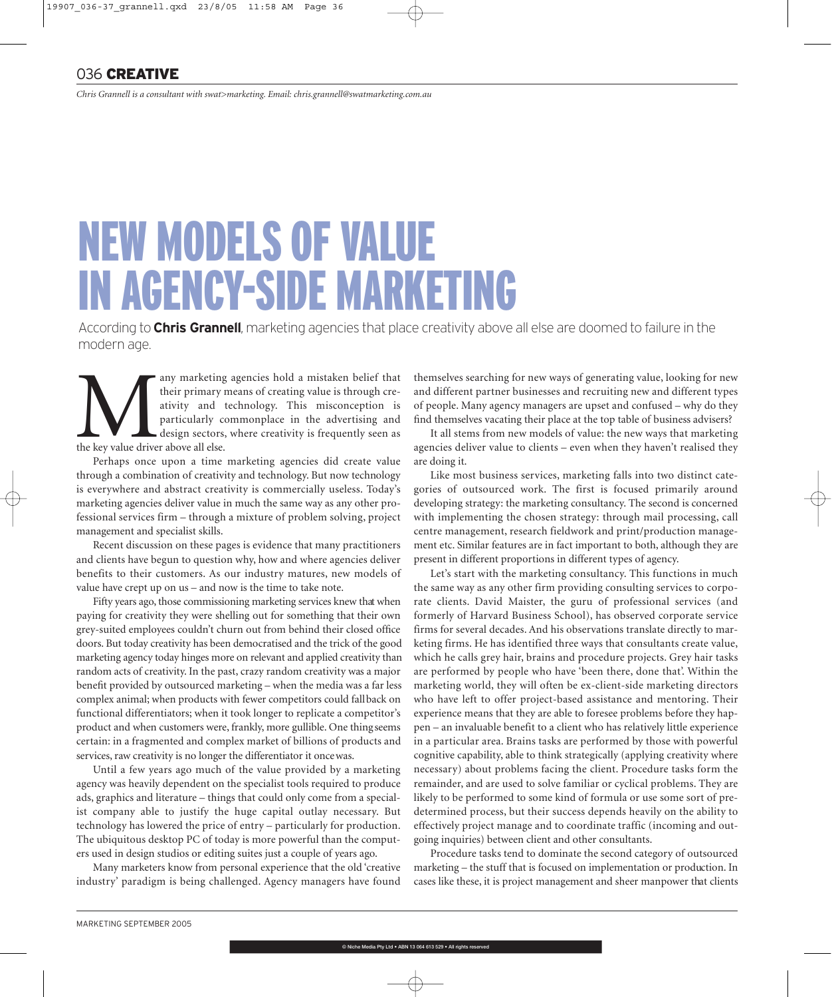*Chris Grannell is a consultant with swat>marketing. Email: chris.grannell@swatmarketing.com.au*

## NEW MODELS OF VALUE IN AGENCY-SIDE MARKETING

According to **Chris Grannell**, marketing agencies that place creativity above all else are doomed to failure in the modern age.

any marketing agencies hold a mistaken belief that<br>their primary means of creating value is through cre-<br>ativity and technology. This misconception is<br>particularly commonplace in the advertising and<br>the key value driver ab their primary means of creating value is through creativity and technology. This misconception is particularly commonplace in the advertising and design sectors, where creativity is frequently seen as the key value driver above all else.

Perhaps once upon a time marketing agencies did create value through a combination of creativity and technology. But now technology is everywhere and abstract creativity is commercially useless. Today's marketing agencies deliver value in much the same way as any other professional services firm – through a mixture of problem solving, project management and specialist skills.

Recent discussion on these pages is evidence that many practitioners and clients have begun to question why, how and where agencies deliver benefits to their customers. As our industry matures, new models of value have crept up on us – and now is the time to take note.

Fifty years ago, those commissioning marketing services knew that when paying for creativity they were shelling out for something that their own grey-suited employees couldn't churn out from behind their closed office doors. But today creativity has been democratised and the trick of the good marketing agency today hinges more on relevant and applied creativity than random acts of creativity. In the past, crazy random creativity was a major benefit provided by outsourced marketing – when the media was a far less complex animal; when products with fewer competitors could fall back on functional differentiators; when it took longer to replicate a competitor's product and when customers were, frankly, more gullible. One thing seems certain: in a fragmented and complex market of billions of products and services, raw creativity is no longer the differentiator it once was.

Until a few years ago much of the value provided by a marketing agency was heavily dependent on the specialist tools required to produce ads, graphics and literature – things that could only come from a specialist company able to justify the huge capital outlay necessary. But technology has lowered the price of entry – particularly for production. The ubiquitous desktop PC of today is more powerful than the computers used in design studios or editing suites just a couple of years ago.

Many marketers know from personal experience that the old 'creative industry' paradigm is being challenged. Agency managers have found themselves searching for new ways of generating value, looking for new and different partner businesses and recruiting new and different types of people. Many agency managers are upset and confused – why do they find themselves vacating their place at the top table of business advisers?

It all stems from new models of value: the new ways that marketing agencies deliver value to clients – even when they haven't realised they are doing it.

Like most business services, marketing falls into two distinct categories of outsourced work. The first is focused primarily around developing strategy: the marketing consultancy. The second is concerned with implementing the chosen strategy: through mail processing, call centre management, research fieldwork and print/production management etc. Similar features are in fact important to both, although they are present in different proportions in different types of agency.

Let's start with the marketing consultancy. This functions in much the same way as any other firm providing consulting services to corporate clients. David Maister, the guru of professional services (and formerly of Harvard Business School), has observed corporate service firms for several decades. And his observations translate directly to marketing firms. He has identified three ways that consultants create value, which he calls grey hair, brains and procedure projects. Grey hair tasks are performed by people who have 'been there, done that'. Within the marketing world, they will often be ex-client-side marketing directors who have left to offer project-based assistance and mentoring. Their experience means that they are able to foresee problems before they happen – an invaluable benefit to a client who has relatively little experience in a particular area. Brains tasks are performed by those with powerful cognitive capability, able to think strategically (applying creativity where necessary) about problems facing the client. Procedure tasks form the remainder, and are used to solve familiar or cyclical problems. They are likely to be performed to some kind of formula or use some sort of predetermined process, but their success depends heavily on the ability to effectively project manage and to coordinate traffic (incoming and outgoing inquiries) between client and other consultants.

Procedure tasks tend to dominate the second category of outsourced marketing – the stuff that is focused on implementation or production. In cases like these, it is project management and sheer manpower that clients

® Niche Media Pty Ltd . ABN 13 064 613 529 . All rights res